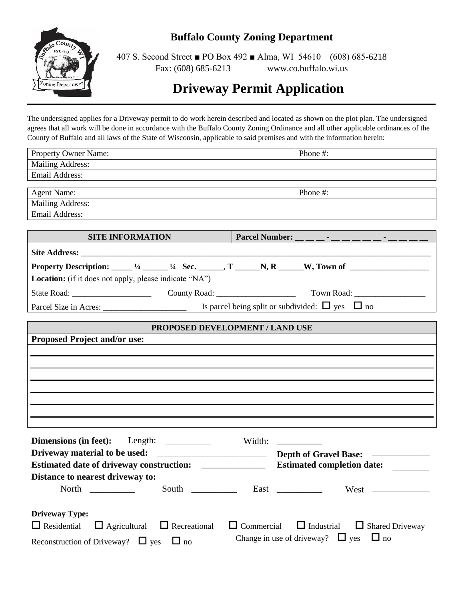

# **Buffalo County Zoning Department**

407 S. Second Street ■ PO Box 492 ■ Alma, WI 54610 (608) 685-6218 Fax: (608) 685-6213 www.co.buffalo.wi.us

# **Driveway Permit Application**

The undersigned applies for a Driveway permit to do work herein described and located as shown on the plot plan. The undersigned agrees that all work will be done in accordance with the Buffalo County Zoning Ordinance and all other applicable ordinances of the County of Buffalo and all laws of the State of Wisconsin, applicable to said premises and with the information herein:

| Property Owner Name:                                                                                                                                                                                                                                                                                                                                                                                                                  | Phone #:                                                                                                               |  |  |  |
|---------------------------------------------------------------------------------------------------------------------------------------------------------------------------------------------------------------------------------------------------------------------------------------------------------------------------------------------------------------------------------------------------------------------------------------|------------------------------------------------------------------------------------------------------------------------|--|--|--|
| <b>Mailing Address:</b>                                                                                                                                                                                                                                                                                                                                                                                                               |                                                                                                                        |  |  |  |
| Email Address:                                                                                                                                                                                                                                                                                                                                                                                                                        |                                                                                                                        |  |  |  |
|                                                                                                                                                                                                                                                                                                                                                                                                                                       |                                                                                                                        |  |  |  |
| <b>Agent Name:</b>                                                                                                                                                                                                                                                                                                                                                                                                                    | Phone #:                                                                                                               |  |  |  |
| <b>Mailing Address:</b>                                                                                                                                                                                                                                                                                                                                                                                                               |                                                                                                                        |  |  |  |
| <b>Email Address:</b>                                                                                                                                                                                                                                                                                                                                                                                                                 |                                                                                                                        |  |  |  |
| SITE INFORMATION                                                                                                                                                                                                                                                                                                                                                                                                                      | Parcel Number: _ _ _ _ _ _ _ _ _ _ _ _ _ _ _                                                                           |  |  |  |
|                                                                                                                                                                                                                                                                                                                                                                                                                                       |                                                                                                                        |  |  |  |
|                                                                                                                                                                                                                                                                                                                                                                                                                                       |                                                                                                                        |  |  |  |
| Location: (if it does not apply, please indicate "NA")                                                                                                                                                                                                                                                                                                                                                                                |                                                                                                                        |  |  |  |
|                                                                                                                                                                                                                                                                                                                                                                                                                                       |                                                                                                                        |  |  |  |
| Parcel Size in Acres: $\Box$ Is parcel being split or subdivided: $\Box$ yes $\Box$ no                                                                                                                                                                                                                                                                                                                                                |                                                                                                                        |  |  |  |
| PROPOSED DEVELOPMENT / LAND USE                                                                                                                                                                                                                                                                                                                                                                                                       |                                                                                                                        |  |  |  |
| <b>Proposed Project and/or use:</b>                                                                                                                                                                                                                                                                                                                                                                                                   |                                                                                                                        |  |  |  |
|                                                                                                                                                                                                                                                                                                                                                                                                                                       |                                                                                                                        |  |  |  |
|                                                                                                                                                                                                                                                                                                                                                                                                                                       |                                                                                                                        |  |  |  |
|                                                                                                                                                                                                                                                                                                                                                                                                                                       |                                                                                                                        |  |  |  |
|                                                                                                                                                                                                                                                                                                                                                                                                                                       |                                                                                                                        |  |  |  |
|                                                                                                                                                                                                                                                                                                                                                                                                                                       |                                                                                                                        |  |  |  |
|                                                                                                                                                                                                                                                                                                                                                                                                                                       |                                                                                                                        |  |  |  |
|                                                                                                                                                                                                                                                                                                                                                                                                                                       |                                                                                                                        |  |  |  |
|                                                                                                                                                                                                                                                                                                                                                                                                                                       |                                                                                                                        |  |  |  |
|                                                                                                                                                                                                                                                                                                                                                                                                                                       |                                                                                                                        |  |  |  |
| Dimensions (in feet):<br>Length: $\frac{1}{\sqrt{1-\frac{1}{2}}\sqrt{1-\frac{1}{2}}\sqrt{1-\frac{1}{2}}\sqrt{1-\frac{1}{2}}\sqrt{1-\frac{1}{2}}\sqrt{1-\frac{1}{2}}\sqrt{1-\frac{1}{2}}\sqrt{1-\frac{1}{2}}\sqrt{1-\frac{1}{2}}\sqrt{1-\frac{1}{2}}\sqrt{1-\frac{1}{2}}\sqrt{1-\frac{1}{2}}\sqrt{1-\frac{1}{2}}\sqrt{1-\frac{1}{2}}\sqrt{1-\frac{1}{2}}\sqrt{1-\frac{1}{2}}\sqrt{1-\frac{1}{2}}\sqrt{1-\frac{1}{2}}\sqrt{1-\frac{1}{$ | Width: $\frac{1}{2}$                                                                                                   |  |  |  |
|                                                                                                                                                                                                                                                                                                                                                                                                                                       |                                                                                                                        |  |  |  |
| Estimated date of driveway construction: ______________                                                                                                                                                                                                                                                                                                                                                                               | <b>Estimated completion date:</b>                                                                                      |  |  |  |
| Distance to nearest driveway to:                                                                                                                                                                                                                                                                                                                                                                                                      |                                                                                                                        |  |  |  |
|                                                                                                                                                                                                                                                                                                                                                                                                                                       | West                                                                                                                   |  |  |  |
| <b>Driveway Type:</b>                                                                                                                                                                                                                                                                                                                                                                                                                 |                                                                                                                        |  |  |  |
|                                                                                                                                                                                                                                                                                                                                                                                                                                       |                                                                                                                        |  |  |  |
| $\Box$ Residential<br>$\Box$ Agricultural<br>$\Box$ Recreational                                                                                                                                                                                                                                                                                                                                                                      | $\Box$ Industrial<br>$\Box$ Commercial<br>$\Box$ Shared Driveway<br>Change in use of driveway? $\Box$ yes<br>$\Box$ no |  |  |  |
| Reconstruction of Driveway? $\Box$ yes<br>$\Box$ no                                                                                                                                                                                                                                                                                                                                                                                   |                                                                                                                        |  |  |  |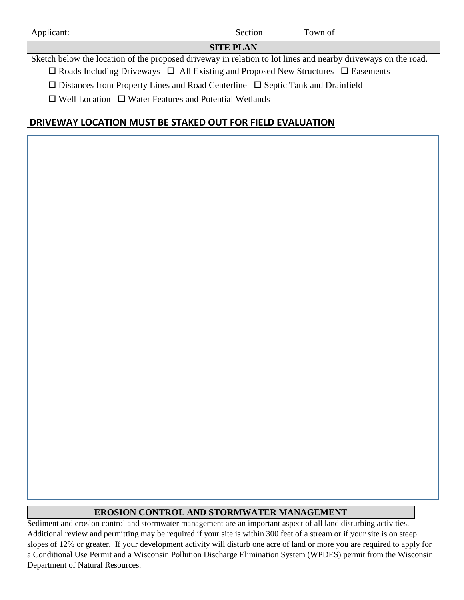|                                                                                                   | Section Town of                                                                                               |  |  |
|---------------------------------------------------------------------------------------------------|---------------------------------------------------------------------------------------------------------------|--|--|
| <b>SITE PLAN</b>                                                                                  |                                                                                                               |  |  |
|                                                                                                   | Sketch below the location of the proposed driveway in relation to lot lines and nearby driveways on the road. |  |  |
| $\Box$ Roads Including Driveways $\Box$ All Existing and Proposed New Structures $\Box$ Easements |                                                                                                               |  |  |
| $\Box$ Distances from Property Lines and Road Centerline $\Box$ Septic Tank and Drainfield        |                                                                                                               |  |  |
| $\Box$ Well Location $\Box$ Water Features and Potential Wetlands                                 |                                                                                                               |  |  |

# **DRIVEWAY LOCATION MUST BE STAKED OUT FOR FIELD EVALUATION**

## **EROSION CONTROL AND STORMWATER MANAGEMENT**

Sediment and erosion control and stormwater management are an important aspect of all land disturbing activities. Additional review and permitting may be required if your site is within 300 feet of a stream or if your site is on steep slopes of 12% or greater. If your development activity will disturb one acre of land or more you are required to apply for a Conditional Use Permit and a Wisconsin Pollution Discharge Elimination System (WPDES) permit from the Wisconsin Department of Natural Resources.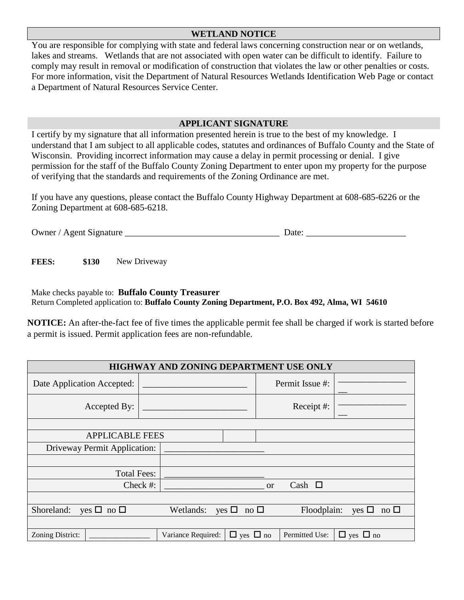### **WETLAND NOTICE**

You are responsible for complying with state and federal laws concerning construction near or on wetlands, lakes and streams. Wetlands that are not associated with open water can be difficult to identify. Failure to comply may result in removal or modification of construction that violates the law or other penalties or costs. For more information, visit the Department of Natural Resources Wetlands Identification Web Page or contact a Department of Natural Resources Service Center.

#### **APPLICANT SIGNATURE**

I certify by my signature that all information presented herein is true to the best of my knowledge. I understand that I am subject to all applicable codes, statutes and ordinances of Buffalo County and the State of Wisconsin. Providing incorrect information may cause a delay in permit processing or denial. I give permission for the staff of the Buffalo County Zoning Department to enter upon my property for the purpose of verifying that the standards and requirements of the Zoning Ordinance are met.

If you have any questions, please contact the Buffalo County Highway Department at 608-685-6226 or the Zoning Department at 608-685-6218.

| Owner<br><b>Agent Signature</b><br>Date :<br>___ |
|--------------------------------------------------|
|--------------------------------------------------|

**FEES: \$130** New Driveway

Make checks payable to: **Buffalo County Treasurer** Return Completed application to: **Buffalo County Zoning Department, P.O. Box 492, Alma, WI 54610**

**NOTICE:** An after-the-fact fee of five times the applicable permit fee shall be charged if work is started before a permit is issued. Permit application fees are non-refundable.

| HIGHWAY AND ZONING DEPARTMENT USE ONLY      |  |                    |                            |            |                 |                         |
|---------------------------------------------|--|--------------------|----------------------------|------------|-----------------|-------------------------|
| Date Application Accepted:                  |  |                    |                            |            | Permit Issue #: |                         |
| Accepted By:                                |  |                    |                            | Receipt #: |                 |                         |
|                                             |  |                    |                            |            |                 |                         |
| <b>APPLICABLE FEES</b>                      |  |                    |                            |            |                 |                         |
| Driveway Permit Application:                |  |                    |                            |            |                 |                         |
|                                             |  |                    |                            |            |                 |                         |
| <b>Total Fees:</b>                          |  |                    |                            |            |                 |                         |
| Check #:<br>Cash $\square$<br><sub>or</sub> |  |                    |                            |            |                 |                         |
|                                             |  |                    |                            |            |                 |                         |
| Shoreland:<br>yes $\Box$ no $\Box$          |  | Wetlands:          | yes $\Box$<br>no $\square$ |            | Floodplain:     | yes $\Box$<br>no $\Box$ |
|                                             |  |                    |                            |            |                 |                         |
| Zoning District:                            |  | Variance Required: | $\Box$ yes $\Box$ no       |            | Permitted Use:  | $\Box$ yes $\Box$ no    |